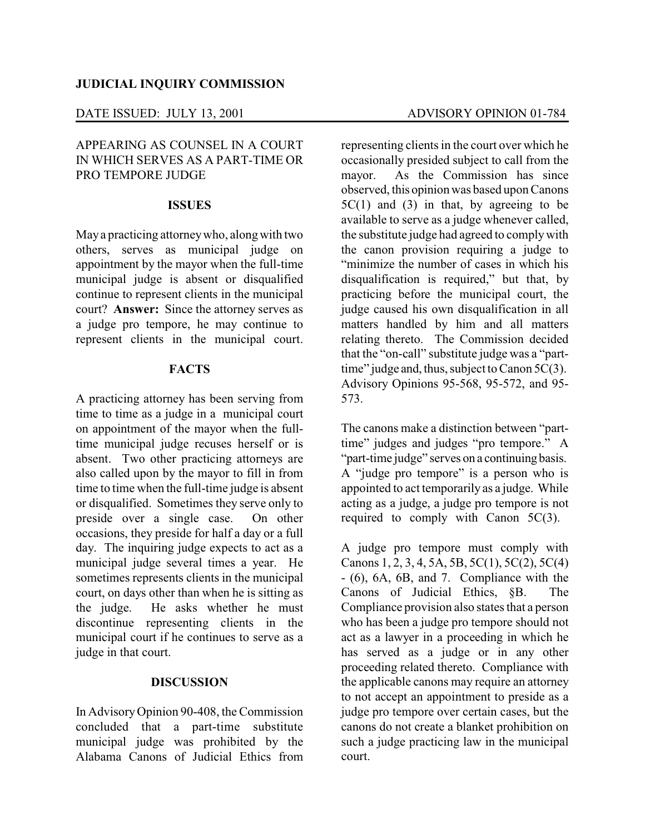## DATE ISSUED: JULY 13, 2001 ADVISORY OPINION 01-784

## APPEARING AS COUNSEL IN A COURT IN WHICH SERVES AS A PART-TIME OR PRO TEMPORE JUDGE

### **ISSUES**

Maya practicing attorneywho, alongwith two others, serves as municipal judge on appointment by the mayor when the full-time municipal judge is absent or disqualified continue to represent clients in the municipal court? **Answer:** Since the attorney serves as a judge pro tempore, he may continue to represent clients in the municipal court.

#### **FACTS**

A practicing attorney has been serving from time to time as a judge in a municipal court on appointment of the mayor when the fulltime municipal judge recuses herself or is absent. Two other practicing attorneys are also called upon by the mayor to fill in from time to time when the full-time judge is absent or disqualified. Sometimes they serve only to preside over a single case. On other occasions, they preside for half a day or a full day. The inquiring judge expects to act as a municipal judge several times a year. He sometimes represents clients in the municipal court, on days other than when he is sitting as the judge. He asks whether he must discontinue representing clients in the municipal court if he continues to serve as a judge in that court.

#### **DISCUSSION**

In AdvisoryOpinion 90-408, the Commission concluded that a part-time substitute municipal judge was prohibited by the Alabama Canons of Judicial Ethics from

representing clients in the court over which he occasionally presided subject to call from the mayor. As the Commission has since observed, this opinion was based upon Canons  $5C(1)$  and  $(3)$  in that, by agreeing to be available to serve as a judge whenever called, the substitute judge had agreed to complywith the canon provision requiring a judge to "minimize the number of cases in which his disqualification is required," but that, by practicing before the municipal court, the judge caused his own disqualification in all matters handled by him and all matters relating thereto. The Commission decided that the "on-call" substitute judge was a "parttime" judge and, thus, subject to Canon 5C(3). Advisory Opinions 95-568, 95-572, and 95- 573.

The canons make a distinction between "parttime" judges and judges "pro tempore." A "part-time judge" serves on a continuing basis. A "judge pro tempore" is a person who is appointed to act temporarily as a judge. While acting as a judge, a judge pro tempore is not required to comply with Canon 5C(3).

A judge pro tempore must comply with Canons 1, 2, 3, 4, 5A, 5B, 5C(1), 5C(2), 5C(4) - (6), 6A, 6B, and 7. Compliance with the Canons of Judicial Ethics, §B. Compliance provision also states that a person who has been a judge pro tempore should not act as a lawyer in a proceeding in which he has served as a judge or in any other proceeding related thereto. Compliance with the applicable canons may require an attorney to not accept an appointment to preside as a judge pro tempore over certain cases, but the canons do not create a blanket prohibition on such a judge practicing law in the municipal court.